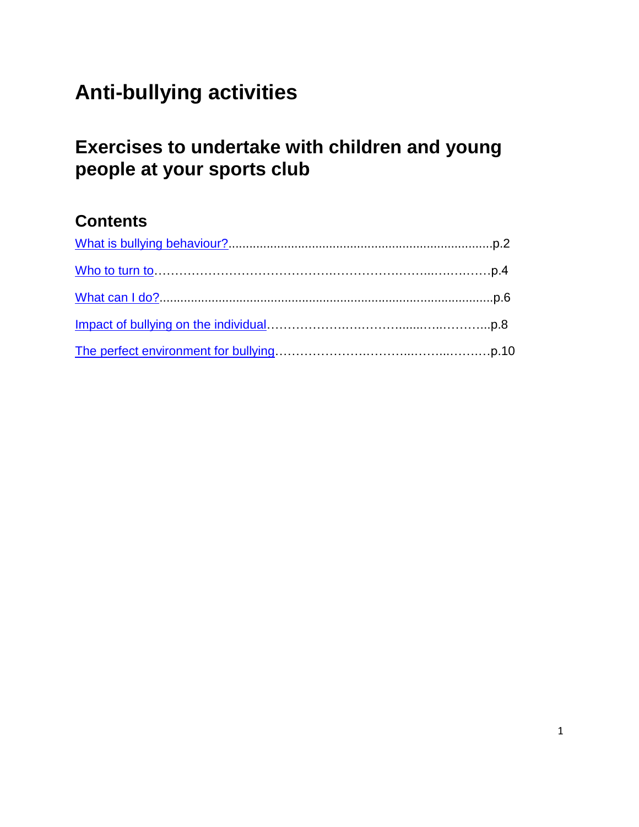# <span id="page-0-0"></span>**Anti-bullying activities**

# **Exercises to undertake with children and young people at your sports club**

# **Contents**

| Who to turn to measure the contract of the contract of the contract of the p.4 |  |
|--------------------------------------------------------------------------------|--|
|                                                                                |  |
|                                                                                |  |
|                                                                                |  |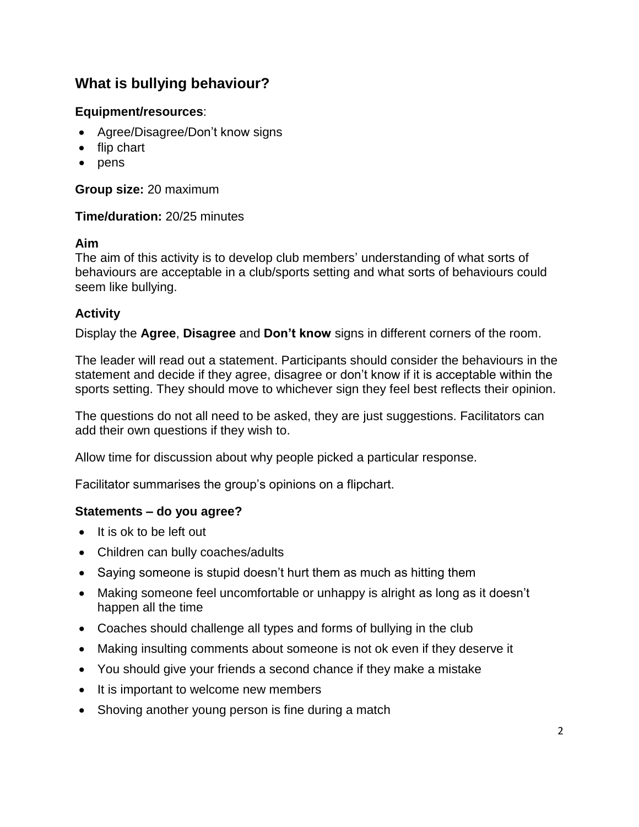# <span id="page-1-0"></span>**What is bullying behaviour?**

# **Equipment/resources**:

- Agree/Disagree/Don't know signs
- flip chart
- $\bullet$  pens

**Group size:** 20 maximum

# **Time/duration:** 20/25 minutes

#### **Aim**

The aim of this activity is to develop club members' understanding of what sorts of behaviours are acceptable in a club/sports setting and what sorts of behaviours could seem like bullying.

# **Activity**

Display the **Agree**, **Disagree** and **Don't know** signs in different corners of the room.

The leader will read out a statement. Participants should consider the behaviours in the statement and decide if they agree, disagree or don't know if it is acceptable within the sports setting. They should move to whichever sign they feel best reflects their opinion.

The questions do not all need to be asked, they are just suggestions. Facilitators can add their own questions if they wish to.

Allow time for discussion about why people picked a particular response.

Facilitator summarises the group's opinions on a flipchart.

# **Statements – do you agree?**

- $\bullet$  It is ok to be left out
- Children can bully coaches/adults
- Saying someone is stupid doesn't hurt them as much as hitting them
- Making someone feel uncomfortable or unhappy is alright as long as it doesn't happen all the time
- Coaches should challenge all types and forms of bullying in the club
- Making insulting comments about someone is not ok even if they deserve it
- You should give your friends a second chance if they make a mistake
- It is important to welcome new members
- Shoving another young person is fine during a match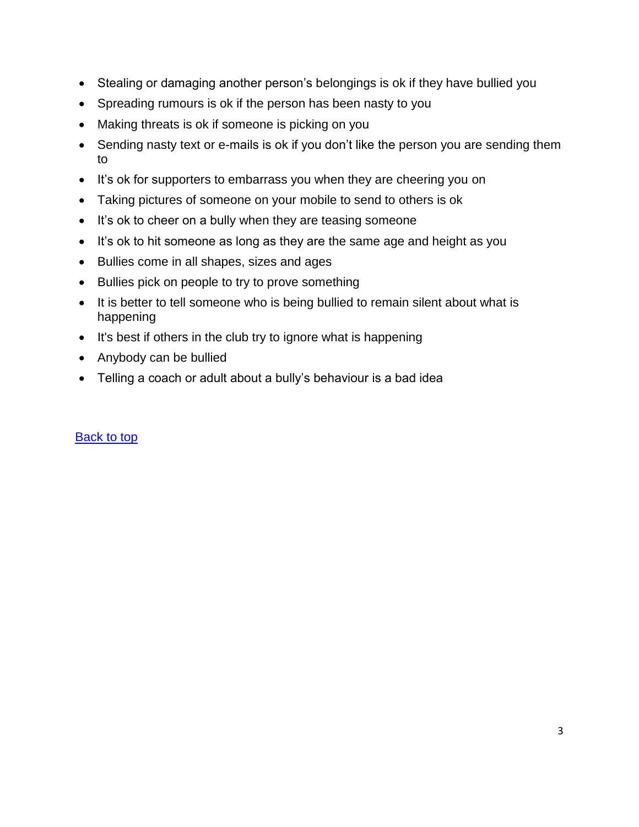- Stealing or damaging another person's belongings is ok if they have bullied you
- Spreading rumours is ok if the person has been nasty to you
- Making threats is ok if someone is picking on you
- Sending nasty text or e-mails is ok if you don't like the person you are sending them to
- It's ok for supporters to embarrass you when they are cheering you on
- Taking pictures of someone on your mobile to send to others is ok
- It's ok to cheer on a bully when they are teasing someone
- It's ok to hit someone as long as they are the same age and height as you
- Bullies come in all shapes, sizes and ages
- Bullies pick on people to try to prove something
- It is better to tell someone who is being bullied to remain silent about what is happening
- It's best if others in the club try to ignore what is happening
- Anybody can be bullied
- Telling a coach or adult about a bully's behaviour is a bad idea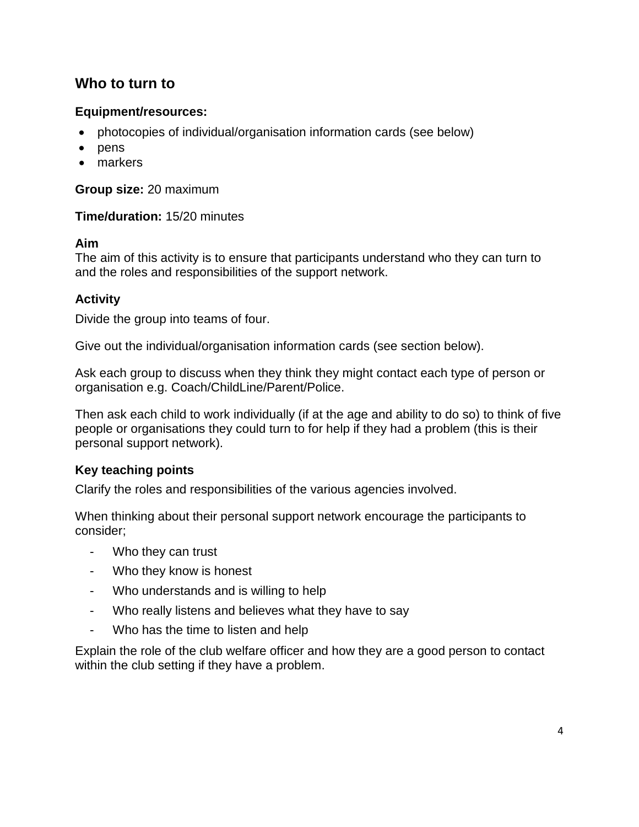# <span id="page-3-0"></span>**Who to turn to**

# **Equipment/resources:**

- photocopies of individual/organisation information cards (see below)
- $\bullet$  pens
- markers

**Group size:** 20 maximum

**Time/duration:** 15/20 minutes

#### **Aim**

The aim of this activity is to ensure that participants understand who they can turn to and the roles and responsibilities of the support network.

# **Activity**

Divide the group into teams of four.

Give out the individual/organisation information cards (see section below).

Ask each group to discuss when they think they might contact each type of person or organisation e.g. Coach/ChildLine/Parent/Police.

Then ask each child to work individually (if at the age and ability to do so) to think of five people or organisations they could turn to for help if they had a problem (this is their personal support network).

# **Key teaching points**

Clarify the roles and responsibilities of the various agencies involved.

When thinking about their personal support network encourage the participants to consider;

- Who they can trust
- Who they know is honest
- Who understands and is willing to help
- Who really listens and believes what they have to say
- Who has the time to listen and help

Explain the role of the club welfare officer and how they are a good person to contact within the club setting if they have a problem.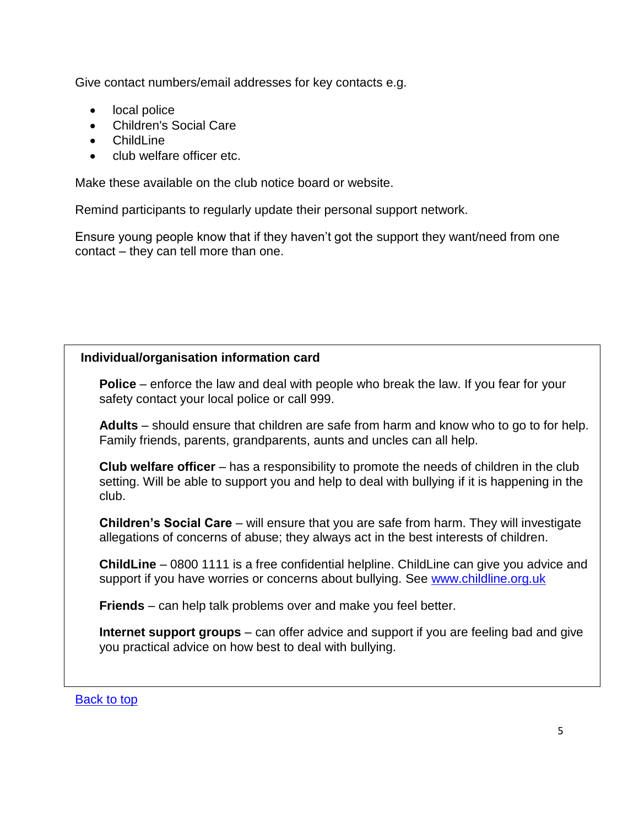Give contact numbers/email addresses for key contacts e.g.

- local police
- Children's Social Care
- Childl ine
- club welfare officer etc.

Make these available on the club notice board or website.

Remind participants to regularly update their personal support network.

Ensure young people know that if they haven't got the support they want/need from one contact – they can tell more than one.

# **Individual/organisation information card**

**Police** – enforce the law and deal with people who break the law. If you fear for your safety contact your local police or call 999.

**Adults** – should ensure that children are safe from harm and know who to go to for help. Family friends, parents, grandparents, aunts and uncles can all help.

**Club welfare officer** – has a responsibility to promote the needs of children in the club setting. Will be able to support you and help to deal with bullying if it is happening in the club.

**Children's Social Care** – will ensure that you are safe from harm. They will investigate allegations of concerns of abuse; they always act in the best interests of children.

**ChildLine** – 0800 1111 is a free confidential helpline. ChildLine can give you advice and support if you have worries or concerns about bullying. See [www.childline.org.uk](http://www.childline.org.uk/)

**Friends** – can help talk problems over and make you feel better.

**Internet support groups** – can offer advice and support if you are feeling bad and give you practical advice on how best to deal with bullying.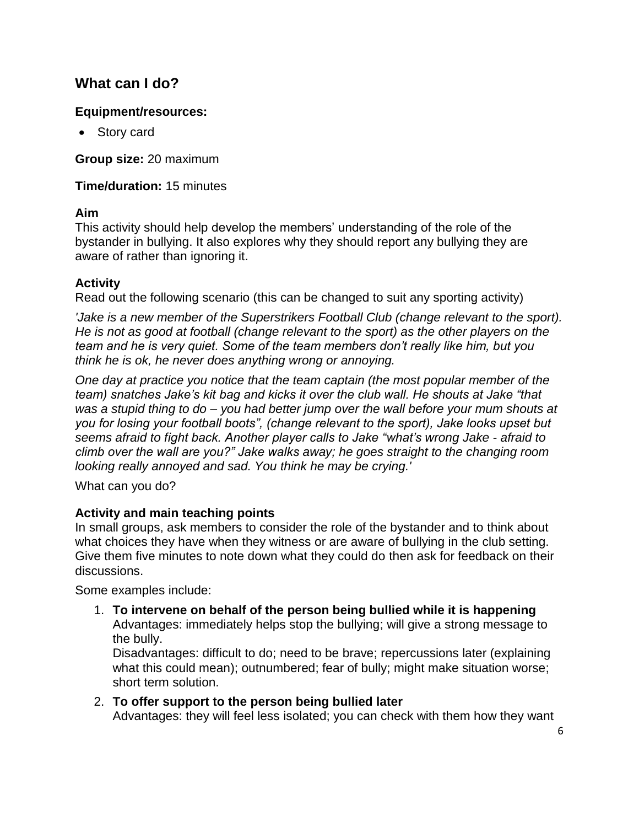# <span id="page-5-0"></span>**What can I do?**

# **Equipment/resources:**

• Story card

**Group size:** 20 maximum

**Time/duration:** 15 minutes

# **Aim**

This activity should help develop the members' understanding of the role of the bystander in bullying. It also explores why they should report any bullying they are aware of rather than ignoring it.

# **Activity**

Read out the following scenario (this can be changed to suit any sporting activity)

*'Jake is a new member of the Superstrikers Football Club (change relevant to the sport). He is not as good at football (change relevant to the sport) as the other players on the team and he is very quiet. Some of the team members don't really like him, but you think he is ok, he never does anything wrong or annoying.*

*One day at practice you notice that the team captain (the most popular member of the team) snatches Jake's kit bag and kicks it over the club wall. He shouts at Jake "that was a stupid thing to do – you had better jump over the wall before your mum shouts at you for losing your football boots", (change relevant to the sport), Jake looks upset but seems afraid to fight back. Another player calls to Jake "what's wrong Jake - afraid to climb over the wall are you?" Jake walks away; he goes straight to the changing room looking really annoyed and sad. You think he may be crying.'*

What can you do?

# **Activity and main teaching points**

In small groups, ask members to consider the role of the bystander and to think about what choices they have when they witness or are aware of bullying in the club setting. Give them five minutes to note down what they could do then ask for feedback on their discussions.

Some examples include:

1. **To intervene on behalf of the person being bullied while it is happening** Advantages: immediately helps stop the bullying; will give a strong message to the bully.

Disadvantages: difficult to do; need to be brave; repercussions later (explaining what this could mean); outnumbered; fear of bully; might make situation worse; short term solution.

2. **To offer support to the person being bullied later** Advantages: they will feel less isolated; you can check with them how they want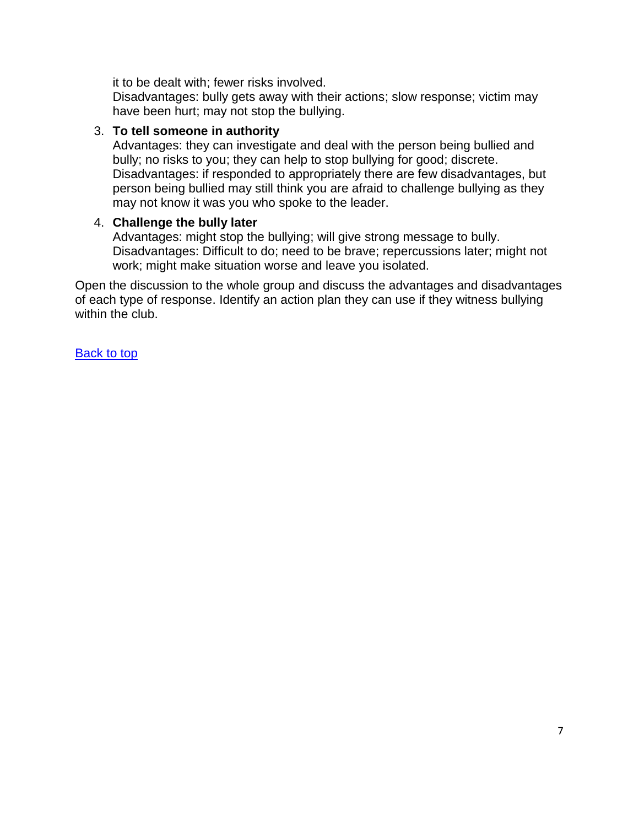it to be dealt with; fewer risks involved.

Disadvantages: bully gets away with their actions; slow response; victim may have been hurt; may not stop the bullying.

#### 3. **To tell someone in authority**

Advantages: they can investigate and deal with the person being bullied and bully; no risks to you; they can help to stop bullying for good; discrete. Disadvantages: if responded to appropriately there are few disadvantages, but person being bullied may still think you are afraid to challenge bullying as they may not know it was you who spoke to the leader.

#### 4. **Challenge the bully later**

Advantages: might stop the bullying; will give strong message to bully. Disadvantages: Difficult to do; need to be brave; repercussions later; might not work; might make situation worse and leave you isolated.

Open the discussion to the whole group and discuss the advantages and disadvantages of each type of response. Identify an action plan they can use if they witness bullying within the club.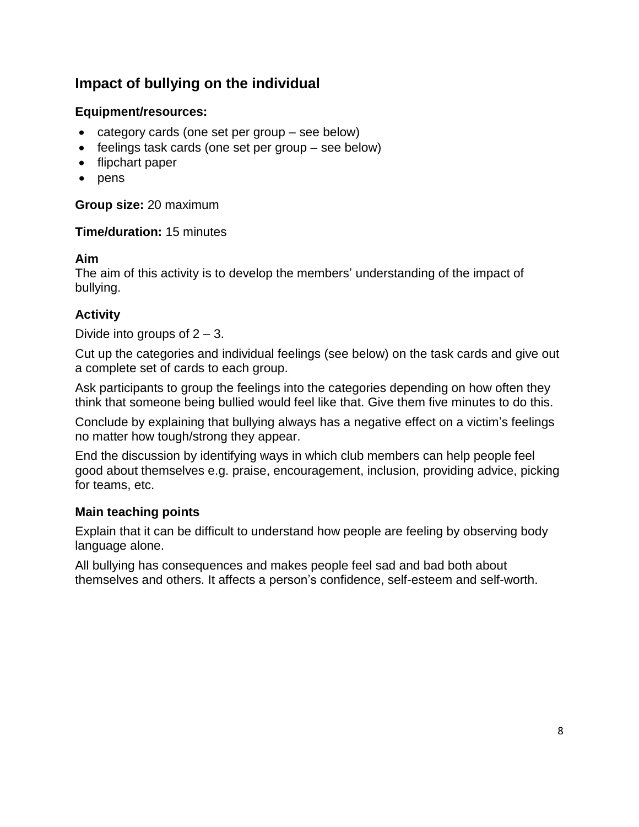# <span id="page-7-0"></span>**Impact of bullying on the individual**

# **Equipment/resources:**

- category cards (one set per group see below)
- feelings task cards (one set per group see below)
- flipchart paper
- pens

**Group size:** 20 maximum

#### **Time/duration:** 15 minutes

#### **Aim**

The aim of this activity is to develop the members' understanding of the impact of bullying.

# **Activity**

Divide into groups of  $2 - 3$ .

Cut up the categories and individual feelings (see below) on the task cards and give out a complete set of cards to each group.

Ask participants to group the feelings into the categories depending on how often they think that someone being bullied would feel like that. Give them five minutes to do this.

Conclude by explaining that bullying always has a negative effect on a victim's feelings no matter how tough/strong they appear.

End the discussion by identifying ways in which club members can help people feel good about themselves e.g. praise, encouragement, inclusion, providing advice, picking for teams, etc.

# **Main teaching points**

Explain that it can be difficult to understand how people are feeling by observing body language alone.

All bullying has consequences and makes people feel sad and bad both about themselves and others. It affects a person's confidence, self-esteem and self-worth.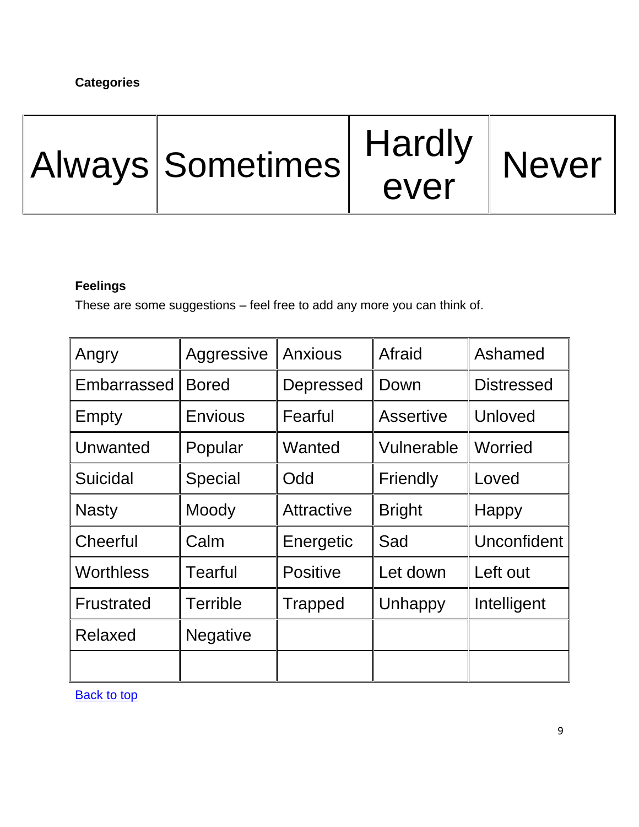# **Categories**



#### **Feelings**

These are some suggestions – feel free to add any more you can think of.

| Angry             | Aggressive      | Anxious         | Afraid        | Ashamed            |
|-------------------|-----------------|-----------------|---------------|--------------------|
| Embarrassed       | <b>Bored</b>    | Depressed       | Down          | <b>Distressed</b>  |
| Empty             | <b>Envious</b>  | Fearful         | Assertive     | Unloved            |
| Unwanted          | Popular         | Wanted          | Vulnerable    | Worried            |
| Suicidal          | Special         | Odd             | Friendly      | Loved              |
| <b>Nasty</b>      | Moody           | Attractive      | <b>Bright</b> | <b>Happy</b>       |
| Cheerful          | Calm            | Energetic       | Sad           | <b>Unconfident</b> |
| <b>Worthless</b>  | <b>Tearful</b>  | <b>Positive</b> | Let down      | Left out           |
| <b>Frustrated</b> | <b>Terrible</b> | <b>Trapped</b>  | Unhappy       | Intelligent        |
| Relaxed           | <b>Negative</b> |                 |               |                    |
|                   |                 |                 |               |                    |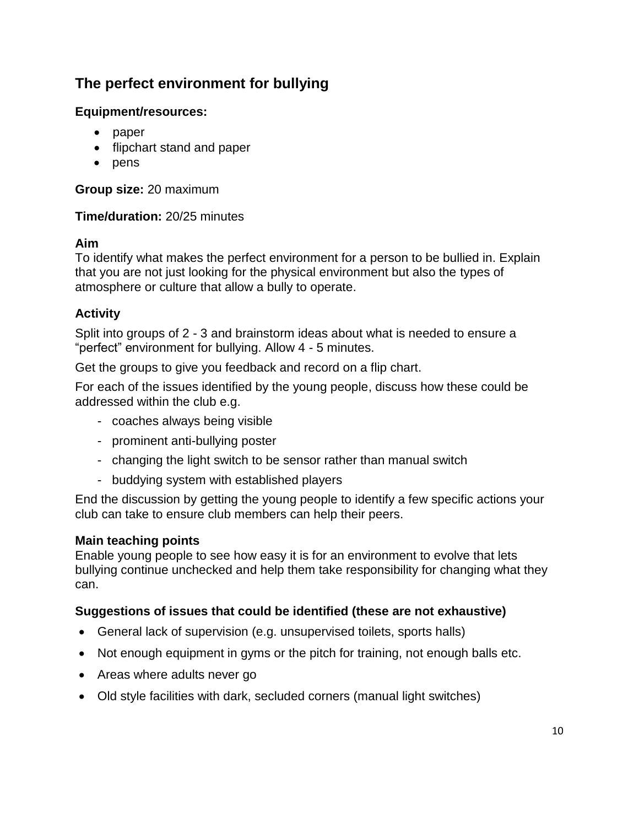# <span id="page-9-0"></span>**The perfect environment for bullying**

# **Equipment/resources:**

- paper
- flipchart stand and paper
- $\bullet$  pens

**Group size:** 20 maximum

# **Time/duration:** 20/25 minutes

# **Aim**

To identify what makes the perfect environment for a person to be bullied in. Explain that you are not just looking for the physical environment but also the types of atmosphere or culture that allow a bully to operate.

# **Activity**

Split into groups of 2 - 3 and brainstorm ideas about what is needed to ensure a "perfect" environment for bullying. Allow 4 - 5 minutes.

Get the groups to give you feedback and record on a flip chart.

For each of the issues identified by the young people, discuss how these could be addressed within the club e.g.

- coaches always being visible
- prominent anti-bullying poster
- changing the light switch to be sensor rather than manual switch
- buddying system with established players

End the discussion by getting the young people to identify a few specific actions your club can take to ensure club members can help their peers.

# **Main teaching points**

Enable young people to see how easy it is for an environment to evolve that lets bullying continue unchecked and help them take responsibility for changing what they can.

# **Suggestions of issues that could be identified (these are not exhaustive)**

- General lack of supervision (e.g. unsupervised toilets, sports halls)
- Not enough equipment in gyms or the pitch for training, not enough balls etc.
- Areas where adults never go
- Old style facilities with dark, secluded corners (manual light switches)